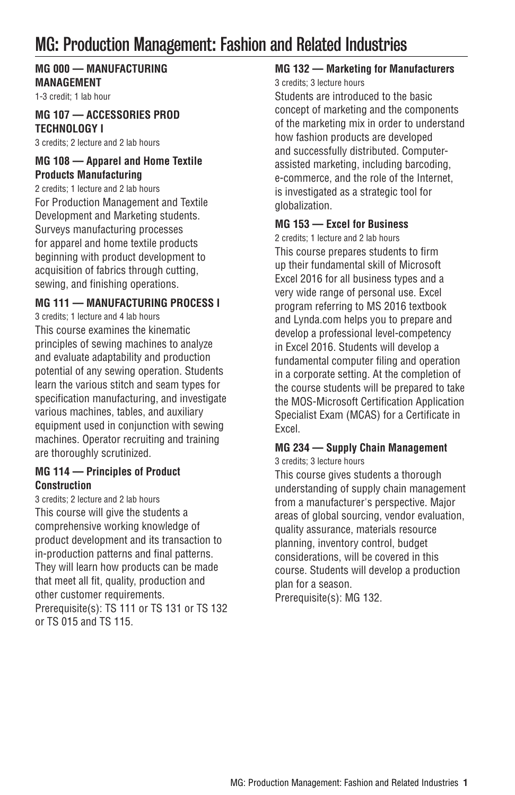# MG: Production Management: Fashion and Related Industries

## **MG 000 — MANUFACTURING MANAGEMENT**

1-3 credit; 1 lab hour

#### **MG 107 — ACCESSORIES PROD TECHNOLOGY I**

3 credits; 2 lecture and 2 lab hours

#### **MG 108 — Apparel and Home Textile Products Manufacturing**

2 credits; 1 lecture and 2 lab hours For Production Management and Textile Development and Marketing students. Surveys manufacturing processes for apparel and home textile products beginning with product development to acquisition of fabrics through cutting, sewing, and finishing operations.

#### **MG 111 — MANUFACTURING PROCESS I**

3 credits; 1 lecture and 4 lab hours This course examines the kinematic principles of sewing machines to analyze and evaluate adaptability and production potential of any sewing operation. Students learn the various stitch and seam types for specification manufacturing, and investigate various machines, tables, and auxiliary equipment used in conjunction with sewing machines. Operator recruiting and training are thoroughly scrutinized.

#### **MG 114 — Principles of Product Construction**

3 credits; 2 lecture and 2 lab hours This course will give the students a comprehensive working knowledge of product development and its transaction to in-production patterns and final patterns. They will learn how products can be made that meet all fit, quality, production and other customer requirements. Prerequisite(s): TS 111 or TS 131 or TS 132 or TS 015 and TS 115.

## **MG 132 — Marketing for Manufacturers**

3 credits; 3 lecture hours

Students are introduced to the basic concept of marketing and the components of the marketing mix in order to understand how fashion products are developed and successfully distributed. Computerassisted marketing, including barcoding, e-commerce, and the role of the Internet, is investigated as a strategic tool for globalization.

#### **MG 153 — Excel for Business**

2 credits; 1 lecture and 2 lab hours This course prepares students to firm up their fundamental skill of Microsoft Excel 2016 for all business types and a very wide range of personal use. Excel program referring to MS 2016 textbook and Lynda.com helps you to prepare and develop a professional level-competency in Excel 2016. Students will develop a fundamental computer filing and operation in a corporate setting. At the completion of the course students will be prepared to take the MOS-Microsoft Certification Application Specialist Exam (MCAS) for a Certificate in Excel.

## **MG 234 — Supply Chain Management**

3 credits; 3 lecture hours

This course gives students a thorough understanding of supply chain management from a manufacturer's perspective. Major areas of global sourcing, vendor evaluation, quality assurance, materials resource planning, inventory control, budget considerations, will be covered in this course. Students will develop a production plan for a season. Prerequisite(s): MG 132.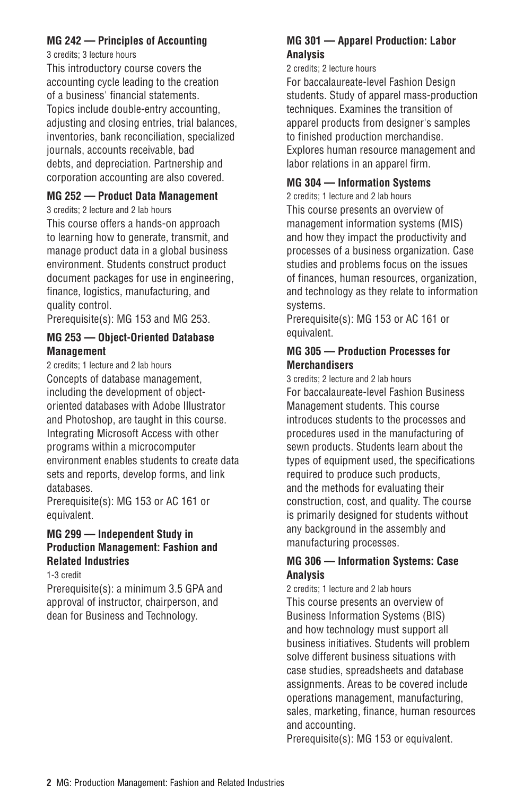#### **MG 242 — Principles of Accounting**

3 credits; 3 lecture hours

This introductory course covers the accounting cycle leading to the creation of a business' financial statements. Topics include double-entry accounting, adjusting and closing entries, trial balances, inventories, bank reconciliation, specialized journals, accounts receivable, bad debts, and depreciation. Partnership and corporation accounting are also covered.

#### **MG 252 — Product Data Management**

3 credits; 2 lecture and 2 lab hours This course offers a hands-on approach to learning how to generate, transmit, and manage product data in a global business environment. Students construct product document packages for use in engineering, finance, logistics, manufacturing, and quality control.

Prerequisite(s): MG 153 and MG 253.

#### **MG 253 — Object-Oriented Database Management**

2 credits; 1 lecture and 2 lab hours Concepts of database management, including the development of objectoriented databases with Adobe Illustrator and Photoshop, are taught in this course. Integrating Microsoft Access with other programs within a microcomputer environment enables students to create data sets and reports, develop forms, and link databases.

Prerequisite(s): MG 153 or AC 161 or equivalent.

#### **MG 299 — Independent Study in Production Management: Fashion and Related Industries**

1-3 credit

Prerequisite(s): a minimum 3.5 GPA and approval of instructor, chairperson, and dean for Business and Technology.

## **MG 301 — Apparel Production: Labor Analysis**

#### 2 credits; 2 lecture hours

For baccalaureate-level Fashion Design students. Study of apparel mass-production techniques. Examines the transition of apparel products from designer's samples to finished production merchandise. Explores human resource management and labor relations in an apparel firm.

## **MG 304 — Information Systems**

2 credits; 1 lecture and 2 lab hours This course presents an overview of management information systems (MIS) and how they impact the productivity and processes of a business organization. Case studies and problems focus on the issues of finances, human resources, organization, and technology as they relate to information systems.

Prerequisite(s): MG 153 or AC 161 or equivalent.

#### **MG 305 — Production Processes for Merchandisers**

3 credits; 2 lecture and 2 lab hours For baccalaureate-level Fashion Business Management students. This course introduces students to the processes and procedures used in the manufacturing of sewn products. Students learn about the types of equipment used, the specifications required to produce such products, and the methods for evaluating their construction, cost, and quality. The course is primarily designed for students without any background in the assembly and manufacturing processes.

#### **MG 306 — Information Systems: Case Analysis**

2 credits; 1 lecture and 2 lab hours This course presents an overview of Business Information Systems (BIS) and how technology must support all business initiatives. Students will problem solve different business situations with case studies, spreadsheets and database assignments. Areas to be covered include operations management, manufacturing, sales, marketing, finance, human resources and accounting.

Prerequisite(s): MG 153 or equivalent.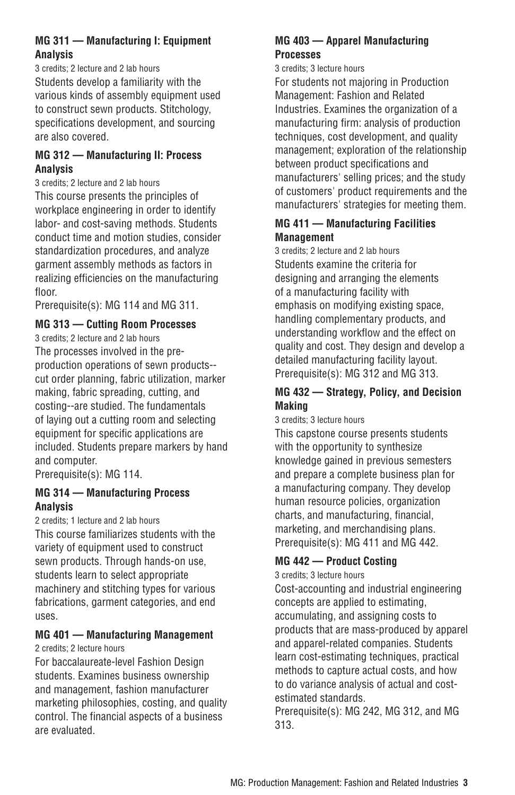#### **MG 311 — Manufacturing I: Equipment Analysis**

3 credits; 2 lecture and 2 lab hours Students develop a familiarity with the various kinds of assembly equipment used to construct sewn products. Stitchology, specifications development, and sourcing are also covered.

#### **MG 312 — Manufacturing II: Process Analysis**

3 credits; 2 lecture and 2 lab hours This course presents the principles of workplace engineering in order to identify labor- and cost-saving methods. Students conduct time and motion studies, consider standardization procedures, and analyze garment assembly methods as factors in realizing efficiencies on the manufacturing floor.

Prerequisite(s): MG 114 and MG 311.

#### **MG 313 — Cutting Room Processes**

3 credits; 2 lecture and 2 lab hours The processes involved in the preproduction operations of sewn products- cut order planning, fabric utilization, marker making, fabric spreading, cutting, and costing--are studied. The fundamentals of laying out a cutting room and selecting equipment for specific applications are included. Students prepare markers by hand and computer.

Prerequisite(s): MG 114.

#### **MG 314 — Manufacturing Process Analysis**

2 credits; 1 lecture and 2 lab hours This course familiarizes students with the variety of equipment used to construct sewn products. Through hands-on use, students learn to select appropriate machinery and stitching types for various fabrications, garment categories, and end uses.

## **MG 401 — Manufacturing Management**

#### 2 credits; 2 lecture hours

For baccalaureate-level Fashion Design students. Examines business ownership and management, fashion manufacturer marketing philosophies, costing, and quality control. The financial aspects of a business are evaluated.

#### **MG 403 — Apparel Manufacturing Processes**

#### 3 credits; 3 lecture hours

For students not majoring in Production Management: Fashion and Related Industries. Examines the organization of a manufacturing firm: analysis of production techniques, cost development, and quality management; exploration of the relationship between product specifications and manufacturers' selling prices; and the study of customers' product requirements and the manufacturers' strategies for meeting them.

#### **MG 411 — Manufacturing Facilities Management**

3 credits; 2 lecture and 2 lab hours Students examine the criteria for designing and arranging the elements of a manufacturing facility with emphasis on modifying existing space, handling complementary products, and understanding workflow and the effect on quality and cost. They design and develop a detailed manufacturing facility layout. Prerequisite(s): MG 312 and MG 313.

#### **MG 432 — Strategy, Policy, and Decision Making**

3 credits; 3 lecture hours

This capstone course presents students with the opportunity to synthesize knowledge gained in previous semesters and prepare a complete business plan for a manufacturing company. They develop human resource policies, organization charts, and manufacturing, financial, marketing, and merchandising plans. Prerequisite(s): MG 411 and MG 442.

## **MG 442 — Product Costing**

3 credits; 3 lecture hours

Cost-accounting and industrial engineering concepts are applied to estimating, accumulating, and assigning costs to products that are mass-produced by apparel and apparel-related companies. Students learn cost-estimating techniques, practical methods to capture actual costs, and how to do variance analysis of actual and costestimated standards.

Prerequisite(s): MG 242, MG 312, and MG 313.